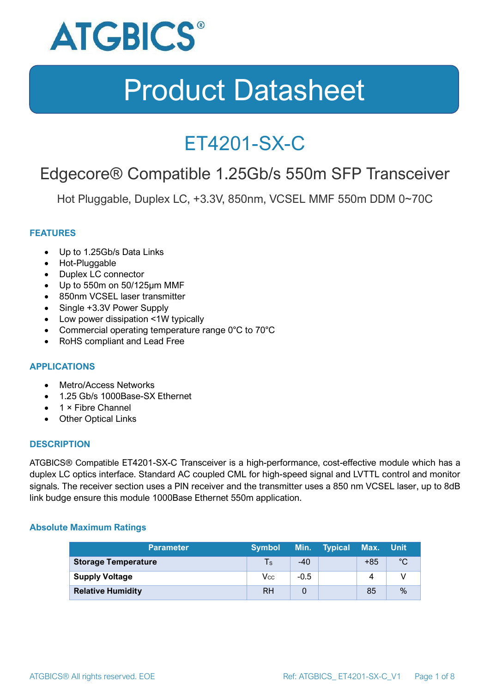

### ET4201-SX-C

### Edgecore® Compatible 1.25Gb/s 550m SFP Transceiver

Hot Pluggable, Duplex LC, +3.3V, 850nm, VCSEL MMF 550m DDM 0~70C

#### **FEATURES**

- Up to 1.25Gb/s Data Links
- Hot-Pluggable
- Duplex LC connector
- Up to 550m on 50/125μm MMF
- 850nm VCSEL laser transmitter
- Single +3.3V Power Supply
- Low power dissipation <1W typically
- Commercial operating temperature range 0°C to 70°C
- RoHS compliant and Lead Free

#### **APPLICATIONS**

- Metro/Access Networks
- 1.25 Gb/s 1000Base-SX Ethernet
- 1 × Fibre Channel
- Other Optical Links

#### **DESCRIPTION**

ATGBICS® Compatible ET4201-SX-C Transceiver is a high-performance, cost-effective module which has a duplex LC optics interface. Standard AC coupled CML for high-speed signal and LVTTL control and monitor signals. The receiver section uses a PIN receiver and the transmitter uses a 850 nm VCSEL laser, up to 8dB link budge ensure this module 1000Base Ethernet 550m application.

#### **Absolute Maximum Ratings**

| <b>Parameter</b>           | <b>Symbol</b> |        | Min. Typical | Max. Unit |      |
|----------------------------|---------------|--------|--------------|-----------|------|
| <b>Storage Temperature</b> | $\mathsf{Ts}$ | $-40$  |              | $+85$     | °C   |
| <b>Supply Voltage</b>      | Vcc           | $-0.5$ |              | 4         |      |
| <b>Relative Humidity</b>   | <b>RH</b>     |        |              | 85        | $\%$ |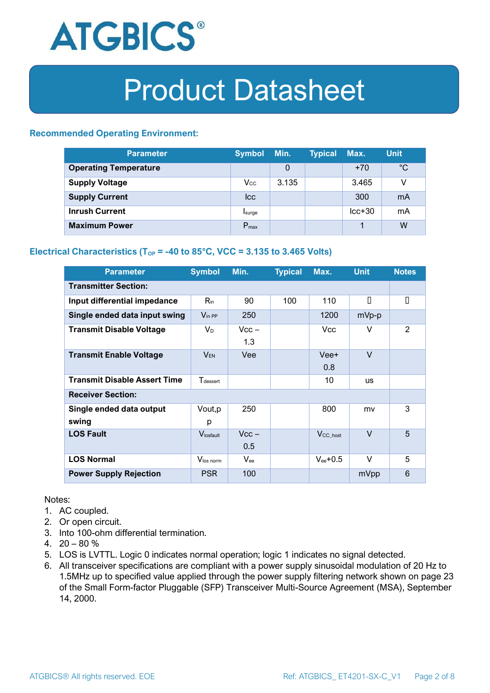

#### **Recommended Operating Environment:**

| <b>Parameter</b>             | <b>Symbol</b>    | Min.  | <b>Typical</b> | Max.     | <b>Unit</b> |
|------------------------------|------------------|-------|----------------|----------|-------------|
| <b>Operating Temperature</b> |                  | 0     |                | $+70$    | $^{\circ}C$ |
| <b>Supply Voltage</b>        | $V_{\rm CC}$     | 3.135 |                | 3.465    | v           |
| <b>Supply Current</b>        | <b>Icc</b>       |       |                | 300      | mA          |
| <b>Inrush Current</b>        | Isurge           |       |                | $lcc+30$ | mA          |
| <b>Maximum Power</b>         | $P_{\text{max}}$ |       |                |          | W           |

#### **Electrical Characteristics** ( $T_{OP}$  = -40 to 85°C, VCC = 3.135 to 3.465 Volts)

| <b>Parameter</b>                    | <b>Symbol</b>               | Min.           | <b>Typical</b> | Max.                  | <b>Unit</b> | <b>Notes</b> |
|-------------------------------------|-----------------------------|----------------|----------------|-----------------------|-------------|--------------|
| <b>Transmitter Section:</b>         |                             |                |                |                       |             |              |
| Input differential impedance        | $R_{\rm in}$                | 90             | 100            | 110                   | П           | О            |
| Single ended data input swing       | $V_{\text{in PP}}$          | 250            |                | 1200                  | mVp-p       |              |
| <b>Transmit Disable Voltage</b>     | $V_D$                       | $Vcc -$<br>1.3 |                | Vcc                   | V           | 2            |
| <b>Transmit Enable Voltage</b>      | $V_{EN}$                    | Vee            |                | Vee+<br>0.8           | $\vee$      |              |
| <b>Transmit Disable Assert Time</b> | <b>T</b> <sub>dessert</sub> |                |                | 10                    | <b>US</b>   |              |
| <b>Receiver Section:</b>            |                             |                |                |                       |             |              |
| Single ended data output<br>swing   | Vout, p<br>р                | 250            |                | 800                   | mv          | 3            |
| <b>LOS Fault</b>                    | Vlosfault                   | $Vcc -$<br>0.5 |                | $V_{\text{CC\_host}}$ | $\vee$      | 5            |
| <b>LOS Normal</b>                   | Vlos norm                   | $V_{\rm ee}$   |                | $V_{ee}$ +0.5         | V           | 5            |
| <b>Power Supply Rejection</b>       | <b>PSR</b>                  | 100            |                |                       | mVpp        | 6            |

Notes:

- 1. AC coupled.
- 2. Or open circuit.
- 3. Into 100-ohm differential termination.
- 4.  $20 80 \%$
- 5. LOS is LVTTL. Logic 0 indicates normal operation; logic 1 indicates no signal detected.
- 6. All transceiver specifications are compliant with a power supply sinusoidal modulation of 20 Hz to 1.5MHz up to specified value applied through the power supply filtering network shown on page 23 of the Small Form-factor Pluggable (SFP) Transceiver Multi-Source Agreement (MSA), September 14, 2000.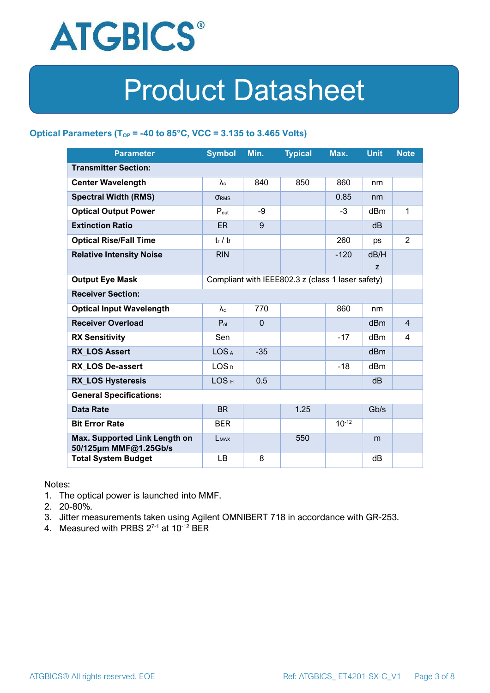

#### **Optical Parameters** ( $T_{OP}$  = -40 to 85°C, VCC = 3.135 to 3.465 Volts)

| <b>Parameter</b>                                                            | <b>Symbol</b>          | Min.         | <b>Typical</b> | Max.       | <b>Unit</b>     | <b>Note</b>    |
|-----------------------------------------------------------------------------|------------------------|--------------|----------------|------------|-----------------|----------------|
| <b>Transmitter Section:</b>                                                 |                        |              |                |            |                 |                |
| <b>Center Wavelength</b>                                                    | $\lambda_c$            | 840          | 850            | 860        | nm              |                |
| <b>Spectral Width (RMS)</b>                                                 | <b>ORMS</b>            |              |                | 0.85       | nm              |                |
| <b>Optical Output Power</b>                                                 | $P_{\text{out}}$       | -9           |                | $-3$       | dBm             | 1              |
| <b>Extinction Ratio</b>                                                     | <b>ER</b>              | 9            |                |            | dB              |                |
| <b>Optical Rise/Fall Time</b>                                               | $t_r / t_f$            |              |                | 260        | ps              | $\overline{2}$ |
| <b>Relative Intensity Noise</b>                                             | <b>RIN</b>             |              |                | $-120$     | dB/H            |                |
|                                                                             |                        |              |                |            | z               |                |
| Compliant with IEEE802.3 z (class 1 laser safety)<br><b>Output Eye Mask</b> |                        |              |                |            |                 |                |
| <b>Receiver Section:</b>                                                    |                        |              |                |            |                 |                |
| <b>Optical Input Wavelength</b>                                             | $\lambda$ <sub>c</sub> | 770          |                | 860        | nm              |                |
| <b>Receiver Overload</b>                                                    | $P_{ol}$               | $\mathbf{0}$ |                |            | d <sub>Bm</sub> | $\overline{4}$ |
| <b>RX Sensitivity</b>                                                       | Sen                    |              |                | $-17$      | dB <sub>m</sub> | 4              |
| <b>RX LOS Assert</b>                                                        | LOS <sub>A</sub>       | $-35$        |                |            | dB <sub>m</sub> |                |
| <b>RX LOS De-assert</b>                                                     | LOS <sub>D</sub>       |              |                | $-18$      | dBm             |                |
| <b>RX_LOS Hysteresis</b>                                                    | LOS <sub>H</sub>       | 0.5          |                |            | dB              |                |
| <b>General Specifications:</b>                                              |                        |              |                |            |                 |                |
| <b>Data Rate</b>                                                            | <b>BR</b>              |              | 1.25           |            | Gb/s            |                |
| <b>Bit Error Rate</b>                                                       | <b>BER</b>             |              |                | $10^{-12}$ |                 |                |
| Max. Supported Link Length on<br>50/125µm MMF@1.25Gb/s                      | <b>LMAX</b>            |              | 550            |            | m               |                |
| <b>Total System Budget</b>                                                  | LB                     | 8            |                |            | dB              |                |

Notes:

- 1. The optical power is launched into MMF.
- 2. 20-80%.
- 3. Jitter measurements taken using Agilent OMNIBERT 718 in accordance with GR-253.
- 4. Measured with PRBS  $2^{7-1}$  at 10<sup>-12</sup> BER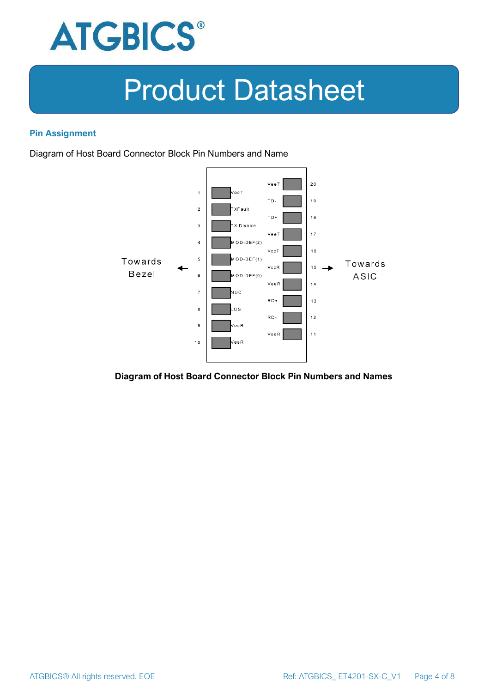

#### **Pin Assignment**

Diagram of Host Board Connector Block Pin Numbers and Name



#### **Diagram of Host Board Connector Block Pin Numbers and Names**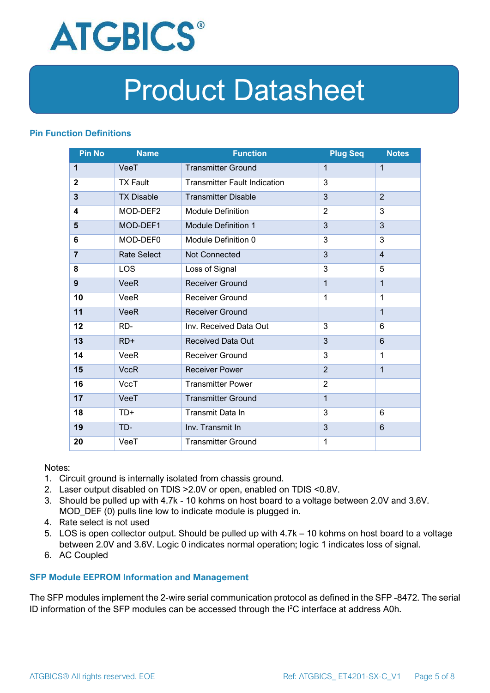

#### **Pin Function Definitions**

| <b>Pin No</b>  | <b>Name</b>        | <b>Function</b>                     | <b>Plug Seq</b> | <b>Notes</b>   |
|----------------|--------------------|-------------------------------------|-----------------|----------------|
| 1              | VeeT               | <b>Transmitter Ground</b>           | $\mathbf 1$     | $\mathbf{1}$   |
| $\overline{2}$ | <b>TX Fault</b>    | <b>Transmitter Fault Indication</b> | 3               |                |
| 3              | <b>TX Disable</b>  | <b>Transmitter Disable</b>          | 3               | $\overline{2}$ |
| 4              | MOD-DEF2           | <b>Module Definition</b>            | $\overline{2}$  | 3              |
| 5              | MOD-DEF1           | <b>Module Definition 1</b>          | 3               | 3              |
| 6              | MOD-DEF0           | Module Definition 0                 | 3               | 3              |
| $\overline{7}$ | <b>Rate Select</b> | <b>Not Connected</b>                | 3               | $\overline{4}$ |
| 8              | <b>LOS</b>         | Loss of Signal                      | 3               | 5              |
| 9              | <b>VeeR</b>        | <b>Receiver Ground</b>              | 1               | $\mathbf{1}$   |
| 10             | VeeR               | <b>Receiver Ground</b>              | $\mathbf 1$     | 1              |
| 11             | <b>VeeR</b>        | <b>Receiver Ground</b>              |                 | $\mathbf{1}$   |
| 12             | RD-                | Inv. Received Data Out              | 3               | 6              |
| 13             | $RD+$              | <b>Received Data Out</b>            | 3               | 6              |
| 14             | VeeR               | Receiver Ground                     | 3               | 1              |
| 15             | <b>VccR</b>        | <b>Receiver Power</b>               | $\overline{2}$  | $\mathbf{1}$   |
| 16             | <b>VccT</b>        | <b>Transmitter Power</b>            | $\overline{2}$  |                |
| 17             | VeeT               | <b>Transmitter Ground</b>           | $\mathbf{1}$    |                |
| 18             | $TD+$              | Transmit Data In                    | 3               | 6              |
| 19             | TD-                | Inv. Transmit In                    | 3               | 6              |
| 20             | VeeT               | <b>Transmitter Ground</b>           | 1               |                |

Notes:

- 1. Circuit ground is internally isolated from chassis ground.
- 2. Laser output disabled on TDIS >2.0V or open, enabled on TDIS <0.8V.
- 3. Should be pulled up with 4.7k 10 kohms on host board to a voltage between 2.0V and 3.6V. MOD\_DEF (0) pulls line low to indicate module is plugged in.
- 4. Rate select is not used
- 5. LOS is open collector output. Should be pulled up with 4.7k 10 kohms on host board to a voltage between 2.0V and 3.6V. Logic 0 indicates normal operation; logic 1 indicates loss of signal.
- 6. AC Coupled

#### **SFP Module EEPROM Information and Management**

The SFP modules implement the 2-wire serial communication protocol as defined in the SFP -8472. The serial ID information of the SFP modules can be accessed through the I2C interface at address A0h.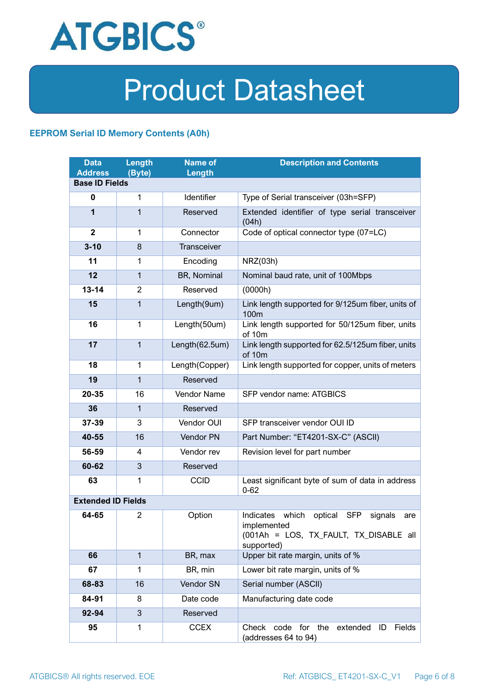

#### **EEPROM Serial ID Memory Contents (A0h)**

| <b>Data</b><br><b>Address</b> | Length<br>(Byte) | <b>Name of</b><br>Length | <b>Description and Contents</b>                                                                                                   |  |
|-------------------------------|------------------|--------------------------|-----------------------------------------------------------------------------------------------------------------------------------|--|
| <b>Base ID Fields</b>         |                  |                          |                                                                                                                                   |  |
| $\mathbf 0$                   | 1                | Identifier               | Type of Serial transceiver (03h=SFP)                                                                                              |  |
| 1                             | 1                | Reserved                 | Extended identifier of type serial transceiver<br>(04h)                                                                           |  |
| $\overline{2}$                | 1                | Connector                | Code of optical connector type (07=LC)                                                                                            |  |
| $3 - 10$                      | 8                | Transceiver              |                                                                                                                                   |  |
| 11                            | 1                | Encoding                 | NRZ(03h)                                                                                                                          |  |
| 12                            | $\mathbf{1}$     | BR, Nominal              | Nominal baud rate, unit of 100Mbps                                                                                                |  |
| $13 - 14$                     | $\overline{2}$   | Reserved                 | (0000h)                                                                                                                           |  |
| 15                            | 1                | Length(9um)              | Link length supported for 9/125um fiber, units of<br>100m                                                                         |  |
| 16                            | 1                | Length(50um)             | Link length supported for 50/125um fiber, units<br>of 10m                                                                         |  |
| 17                            | $\mathbf{1}$     | Length(62.5um)           | Link length supported for 62.5/125um fiber, units<br>of 10m                                                                       |  |
| 18                            | 1                | Length(Copper)           | Link length supported for copper, units of meters                                                                                 |  |
| 19                            | $\mathbf{1}$     | Reserved                 |                                                                                                                                   |  |
| 20-35                         | 16               | Vendor Name              | SFP vendor name: ATGBICS                                                                                                          |  |
| 36                            | $\mathbf 1$      | Reserved                 |                                                                                                                                   |  |
| 37-39                         | 3                | Vendor OUI               | SFP transceiver vendor OUI ID                                                                                                     |  |
| 40-55                         | 16               | Vendor PN                | Part Number: "ET4201-SX-C" (ASCII)                                                                                                |  |
| 56-59                         | 4                | Vendor rev               | Revision level for part number                                                                                                    |  |
| 60-62                         | 3                | Reserved                 |                                                                                                                                   |  |
| 63                            | 1                | <b>CCID</b>              | Least significant byte of sum of data in address<br>$0 - 62$                                                                      |  |
| <b>Extended ID Fields</b>     |                  |                          |                                                                                                                                   |  |
| 64-65                         | $\overline{2}$   | Option                   | Indicates which<br>optical<br><b>SFP</b><br>signals<br>are<br>implemented<br>(001Ah = LOS, TX_FAULT, TX_DISABLE all<br>supported) |  |
| 66                            | $\mathbf{1}$     | BR, max                  | Upper bit rate margin, units of %                                                                                                 |  |
| 67                            | 1                | BR, min                  | Lower bit rate margin, units of %                                                                                                 |  |
| 68-83                         | 16               | Vendor SN                | Serial number (ASCII)                                                                                                             |  |
| 84-91                         | 8                | Date code                | Manufacturing date code                                                                                                           |  |
| 92-94                         | 3                | Reserved                 |                                                                                                                                   |  |
| 95                            | 1                | <b>CCEX</b>              | Check<br>code for<br>the<br>extended<br>Fields<br>ID<br>(addresses 64 to 94)                                                      |  |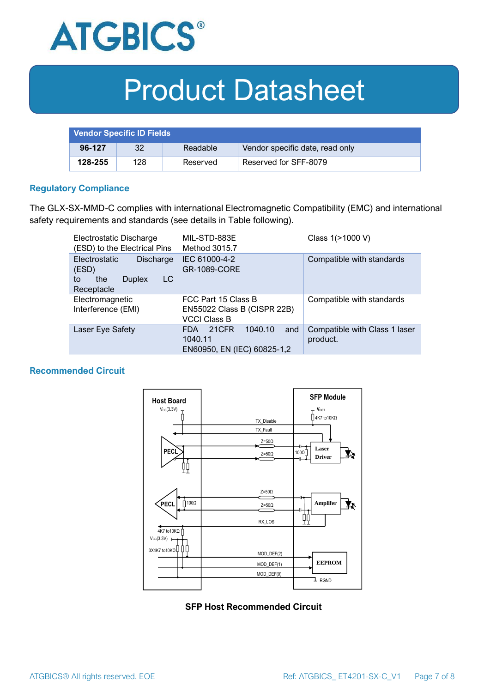

| <b>Vendor Specific ID Fields</b> |     |          |                                 |
|----------------------------------|-----|----------|---------------------------------|
| 96-127                           | 32  | Readable | Vendor specific date, read only |
| 128-255                          | 128 | Reserved | Reserved for SFF-8079           |

#### **Regulatory Compliance**

The GLX-SX-MMD-C complies with international Electromagnetic Compatibility (EMC) and international safety requirements and standards (see details in Table following).

| Electrostatic Discharge<br>(ESD) to the Electrical Pins                                      | MIL-STD-883E<br>Method 3015.7                                                   | Class 1(>1000 V)                          |  |
|----------------------------------------------------------------------------------------------|---------------------------------------------------------------------------------|-------------------------------------------|--|
| <b>Electrostatic</b><br>Discharge<br>(ESD)<br>LC<br>the<br><b>Duplex</b><br>to<br>Receptacle | IEC 61000-4-2<br><b>GR-1089-CORE</b>                                            | Compatible with standards                 |  |
| Electromagnetic<br>Interference (EMI)                                                        | FCC Part 15 Class B<br>EN55022 Class B (CISPR 22B)<br><b>VCCI Class B</b>       | Compatible with standards                 |  |
| Laser Eye Safety                                                                             | 1040.10<br>21CFR<br>and<br><b>FDA</b><br>1040.11<br>EN60950, EN (IEC) 60825-1,2 | Compatible with Class 1 laser<br>product. |  |

#### **Recommended Circuit**



**SFP Host Recommended Circuit**